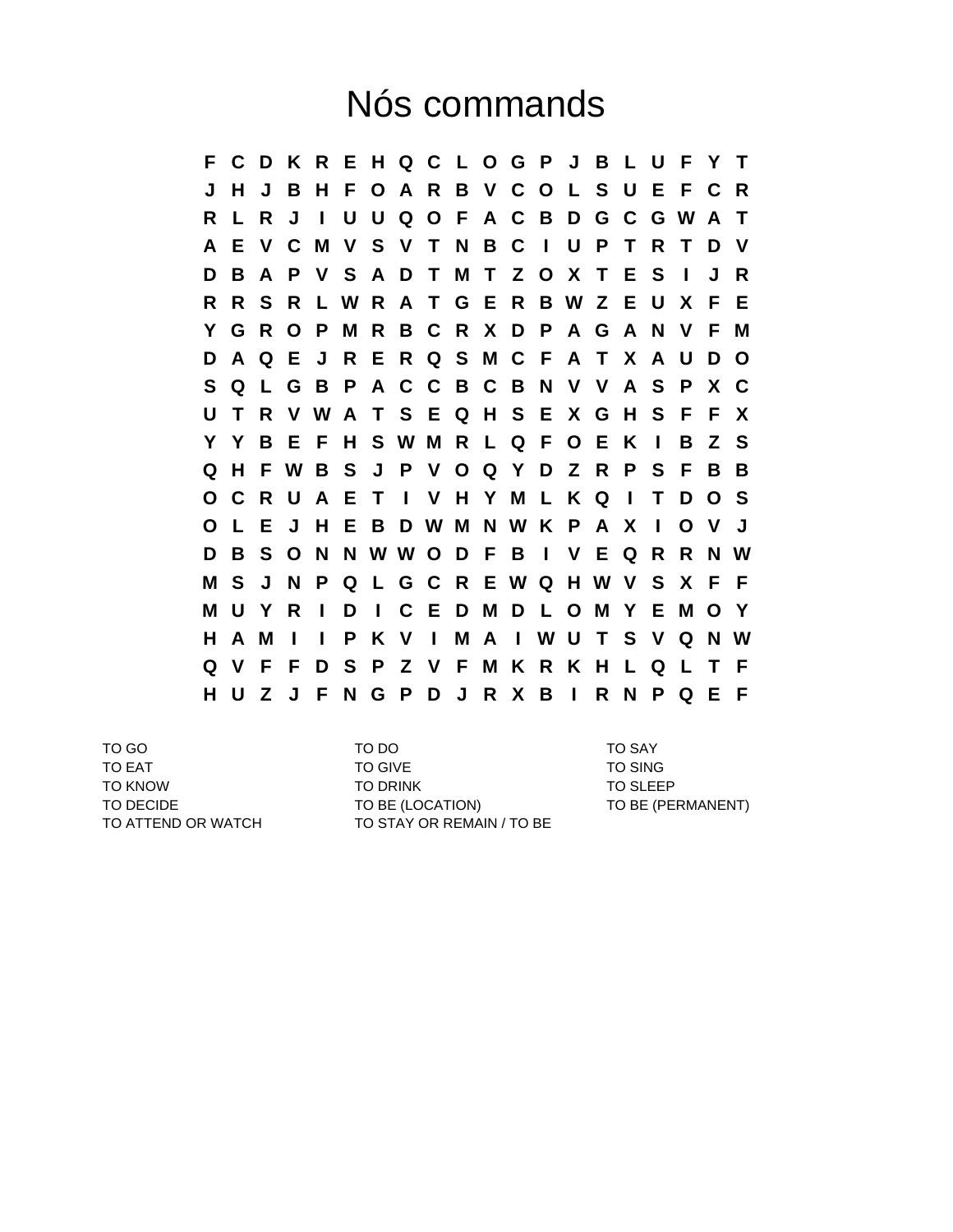## Nós commands

**F C D K R E H Q C L O G P J B L U F Y T J H J B H F O A R B V C O L S U E F C R R L R J I U U Q O F A C B D G C G W A T A E V C M V S V T N B C I U P T R T D V D B A P V S A D T M T Z O X T E S I J R R R S R L W R A T G E R B W Z E U X F E Y G R O P M R B C R X D P A G A N V F M D A Q E J R E R Q S M C F A T X A U D O S Q L G B P A C C B C B N V V A S P X C U T R V W A T S E Q H S E X G H S F F X Y Y B E F H S W M R L Q F O E K I B Z S Q H F W B S J P V O Q Y D Z R P S F B B O C R U A E T I V H Y M L K Q I T D O S O L E J H E B D W M N W K P A X I O V J D B S O N N W W O D F B I V E Q R R N W M S J N P Q L G C R E W Q H W V S X F F M U Y R I D I C E D M D L O M Y E M O Y H A M I I P K V I M A I W U T S V Q N W Q V F F D S P Z V F M K R K H L Q L T F H U Z J F N G P D J R X B I R N P Q E F**

TO GO TO DO TO SAY TO EAT TO GIVE TO SING TO KNOW TO DRINK TO DRINK TO SLEEP TO DECIDE TO BE (LOCATION) TO BE (PERMANENT) TO ATTEND OR WATCH TO STAY OR REMAIN / TO BE